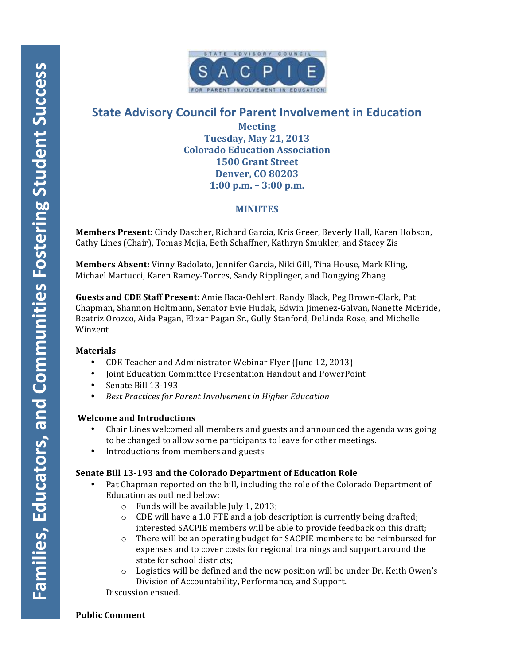

# **State Advisory Council for Parent Involvement in Education**

**Meeting Tuesday, May 21, 2013 Colorado Education Association 1500 Grant Street Denver, CO 80203 1:00 p.m. – 3:00 p.m.**

# **MINUTES**

**Members Present:** Cindy Dascher, Richard Garcia, Kris Greer, Beverly Hall, Karen Hobson, Cathy Lines (Chair), Tomas Mejia, Beth Schaffner, Kathryn Smukler, and Stacey Zis

**Members Absent:** Vinny Badolato, Jennifer Garcia, Niki Gill, Tina House, Mark Kling, Michael Martucci, Karen Ramey-Torres, Sandy Ripplinger, and Dongying Zhang

**Guests and CDE Staff Present:** Amie Baca-Oehlert, Randy Black, Peg Brown-Clark, Pat Chapman, Shannon Holtmann, Senator Evie Hudak, Edwin Jimenez-Galvan, Nanette McBride, Beatriz Orozco, Aida Pagan, Elizar Pagan Sr., Gully Stanford, DeLinda Rose, and Michelle Winzent

## **Materials**

- CDE Teacher and Administrator Webinar Flyer (June 12, 2013)
- Joint Education Committee Presentation Handout and PowerPoint
- Senate Bill 13-193
- Best Practices for Parent Involvement in Higher Education

#### **Welcome and Introductions**

- Chair Lines welcomed all members and guests and announced the agenda was going to be changed to allow some participants to leave for other meetings.
- Introductions from members and guests

## **Senate Bill 13-193 and the Colorado Department of Education Role**

- Pat Chapman reported on the bill, including the role of the Colorado Department of Education as outlined below:
	- $\circ$  Funds will be available July 1, 2013;
	- $\circ$  CDE will have a 1.0 FTE and a job description is currently being drafted; interested SACPIE members will be able to provide feedback on this draft;
	- $\circ$  There will be an operating budget for SACPIE members to be reimbursed for expenses and to cover costs for regional trainings and support around the state for school districts;
	- $\circ$  Logistics will be defined and the new position will be under Dr. Keith Owen's Division of Accountability, Performance, and Support.

Discussion ensued.

#### **Public Comment**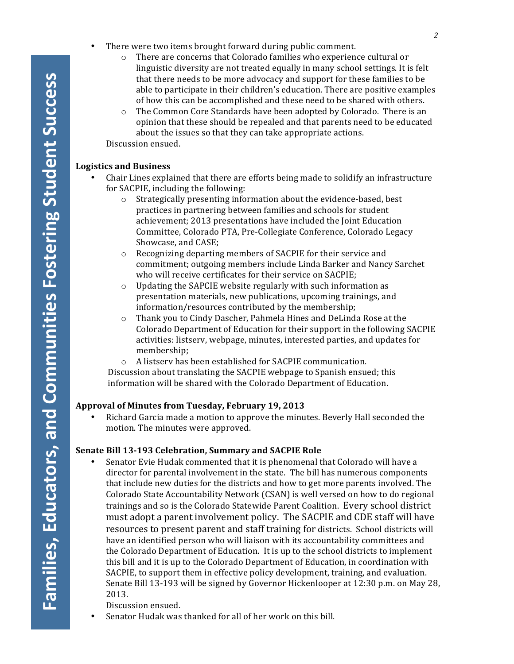- There were two items brought forward during public comment.
	- $\circ$  There are concerns that Colorado families who experience cultural or linguistic diversity are not treated equally in many school settings. It is felt that there needs to be more advocacy and support for these families to be able to participate in their children's education. There are positive examples of how this can be accomplished and these need to be shared with others.
	- $\circ$  The Common Core Standards have been adopted by Colorado. There is an opinion that these should be repealed and that parents need to be educated about the issues so that they can take appropriate actions.

Discussion ensued.

#### **Logistics and Business**

- Chair Lines explained that there are efforts being made to solidify an infrastructure for SACPIE, including the following:
	- $\circ$  Strategically presenting information about the evidence-based, best practices in partnering between families and schools for student achievement; 2013 presentations have included the Joint Education Committee, Colorado PTA, Pre-Collegiate Conference, Colorado Legacy Showcase, and CASE;
	- o Recognizing departing members of SACPIE for their service and commitment; outgoing members include Linda Barker and Nancy Sarchet who will receive certificates for their service on SACPIE;
	- $\circ$  Updating the SAPCIE website regularly with such information as presentation materials, new publications, upcoming trainings, and information/resources contributed by the membership;
	- $\circ$  Thank you to Cindy Dascher, Pahmela Hines and DeLinda Rose at the Colorado Department of Education for their support in the following SACPIE activities: listserv, webpage, minutes, interested parties, and updates for membership;
	- $\circ$  A listserv has been established for SACPIE communication. Discussion about translating the SACPIE webpage to Spanish ensued; this information will be shared with the Colorado Department of Education.

## Approval of Minutes from Tuesday, February 19, 2013

Richard Garcia made a motion to approve the minutes. Beverly Hall seconded the motion. The minutes were approved.

## **Senate Bill 13-193 Celebration, Summary and SACPIE Role**

Senator Evie Hudak commented that it is phenomenal that Colorado will have a director for parental involvement in the state. The bill has numerous components that include new duties for the districts and how to get more parents involved. The Colorado State Accountability Network (CSAN) is well versed on how to do regional trainings and so is the Colorado Statewide Parent Coalition. Every school district must adopt a parent involvement policy. The SACPIE and CDE staff will have resources to present parent and staff training for districts. School districts will have an identified person who will liaison with its accountability committees and the Colorado Department of Education. It is up to the school districts to implement this bill and it is up to the Colorado Department of Education, in coordination with SACPIE, to support them in effective policy development, training, and evaluation. Senate Bill 13-193 will be signed by Governor Hickenlooper at 12:30 p.m. on May 28, 2013. 

Discussion ensued.

• Senator Hudak was thanked for all of her work on this bill.